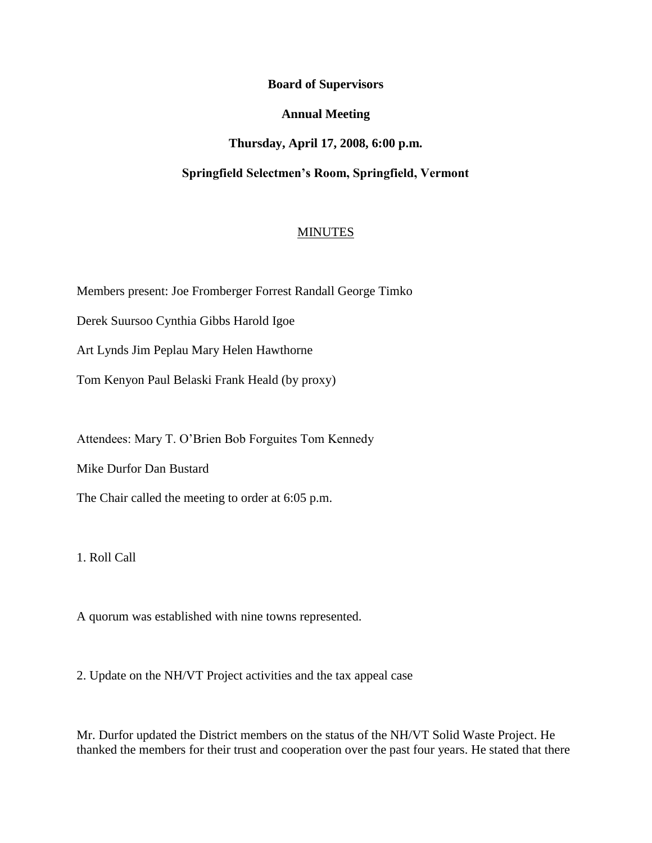**Board of Supervisors**

**Annual Meeting**

**Thursday, April 17, 2008, 6:00 p.m.**

**Springfield Selectmen's Room, Springfield, Vermont**

# **MINUTES**

Members present: Joe Fromberger Forrest Randall George Timko

Derek Suursoo Cynthia Gibbs Harold Igoe

Art Lynds Jim Peplau Mary Helen Hawthorne

Tom Kenyon Paul Belaski Frank Heald (by proxy)

Attendees: Mary T. O'Brien Bob Forguites Tom Kennedy

Mike Durfor Dan Bustard

The Chair called the meeting to order at 6:05 p.m.

1. Roll Call

A quorum was established with nine towns represented.

2. Update on the NH/VT Project activities and the tax appeal case

Mr. Durfor updated the District members on the status of the NH/VT Solid Waste Project. He thanked the members for their trust and cooperation over the past four years. He stated that there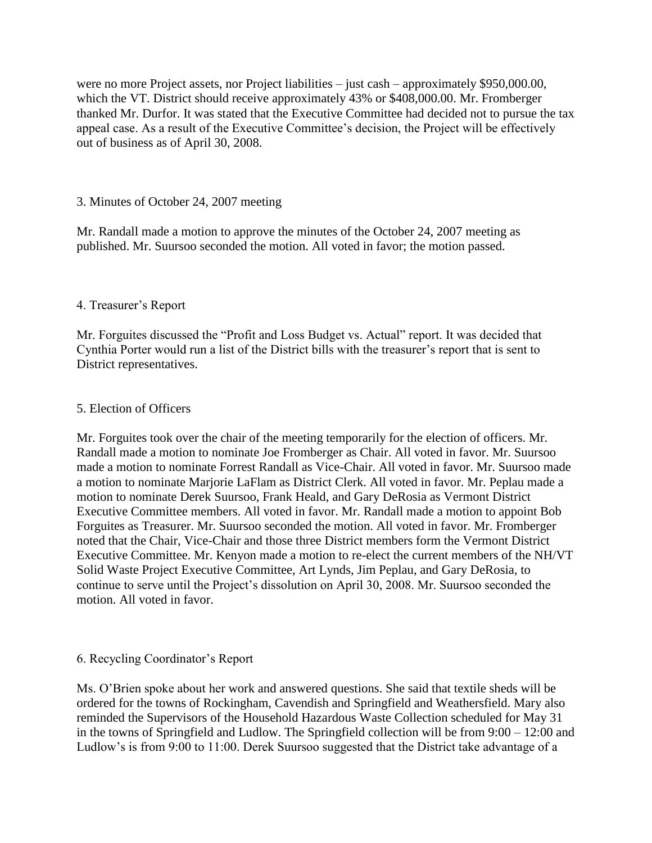were no more Project assets, nor Project liabilities – just cash – approximately \$950,000.00, which the VT. District should receive approximately 43% or \$408,000.00. Mr. Fromberger thanked Mr. Durfor. It was stated that the Executive Committee had decided not to pursue the tax appeal case. As a result of the Executive Committee's decision, the Project will be effectively out of business as of April 30, 2008.

## 3. Minutes of October 24, 2007 meeting

Mr. Randall made a motion to approve the minutes of the October 24, 2007 meeting as published. Mr. Suursoo seconded the motion. All voted in favor; the motion passed.

### 4. Treasurer's Report

Mr. Forguites discussed the "Profit and Loss Budget vs. Actual" report. It was decided that Cynthia Porter would run a list of the District bills with the treasurer's report that is sent to District representatives.

#### 5. Election of Officers

Mr. Forguites took over the chair of the meeting temporarily for the election of officers. Mr. Randall made a motion to nominate Joe Fromberger as Chair. All voted in favor. Mr. Suursoo made a motion to nominate Forrest Randall as Vice-Chair. All voted in favor. Mr. Suursoo made a motion to nominate Marjorie LaFlam as District Clerk. All voted in favor. Mr. Peplau made a motion to nominate Derek Suursoo, Frank Heald, and Gary DeRosia as Vermont District Executive Committee members. All voted in favor. Mr. Randall made a motion to appoint Bob Forguites as Treasurer. Mr. Suursoo seconded the motion. All voted in favor. Mr. Fromberger noted that the Chair, Vice-Chair and those three District members form the Vermont District Executive Committee. Mr. Kenyon made a motion to re-elect the current members of the NH/VT Solid Waste Project Executive Committee, Art Lynds, Jim Peplau, and Gary DeRosia, to continue to serve until the Project's dissolution on April 30, 2008. Mr. Suursoo seconded the motion. All voted in favor.

#### 6. Recycling Coordinator's Report

Ms. O'Brien spoke about her work and answered questions. She said that textile sheds will be ordered for the towns of Rockingham, Cavendish and Springfield and Weathersfield. Mary also reminded the Supervisors of the Household Hazardous Waste Collection scheduled for May 31 in the towns of Springfield and Ludlow. The Springfield collection will be from 9:00 – 12:00 and Ludlow's is from 9:00 to 11:00. Derek Suursoo suggested that the District take advantage of a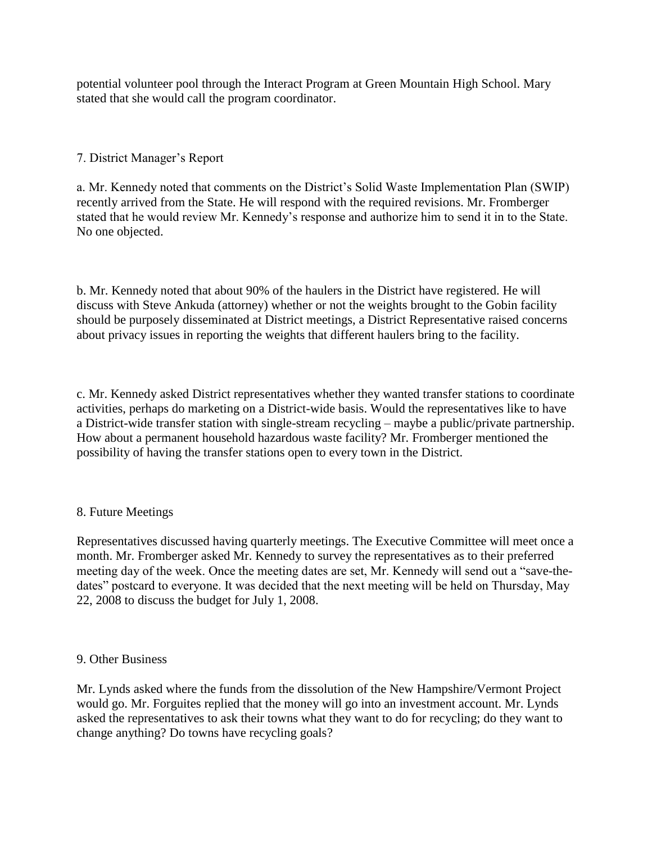potential volunteer pool through the Interact Program at Green Mountain High School. Mary stated that she would call the program coordinator.

# 7. District Manager's Report

a. Mr. Kennedy noted that comments on the District's Solid Waste Implementation Plan (SWIP) recently arrived from the State. He will respond with the required revisions. Mr. Fromberger stated that he would review Mr. Kennedy's response and authorize him to send it in to the State. No one objected.

b. Mr. Kennedy noted that about 90% of the haulers in the District have registered. He will discuss with Steve Ankuda (attorney) whether or not the weights brought to the Gobin facility should be purposely disseminated at District meetings, a District Representative raised concerns about privacy issues in reporting the weights that different haulers bring to the facility.

c. Mr. Kennedy asked District representatives whether they wanted transfer stations to coordinate activities, perhaps do marketing on a District-wide basis. Would the representatives like to have a District-wide transfer station with single-stream recycling – maybe a public/private partnership. How about a permanent household hazardous waste facility? Mr. Fromberger mentioned the possibility of having the transfer stations open to every town in the District.

# 8. Future Meetings

Representatives discussed having quarterly meetings. The Executive Committee will meet once a month. Mr. Fromberger asked Mr. Kennedy to survey the representatives as to their preferred meeting day of the week. Once the meeting dates are set, Mr. Kennedy will send out a "save-thedates" postcard to everyone. It was decided that the next meeting will be held on Thursday, May 22, 2008 to discuss the budget for July 1, 2008.

#### 9. Other Business

Mr. Lynds asked where the funds from the dissolution of the New Hampshire/Vermont Project would go. Mr. Forguites replied that the money will go into an investment account. Mr. Lynds asked the representatives to ask their towns what they want to do for recycling; do they want to change anything? Do towns have recycling goals?